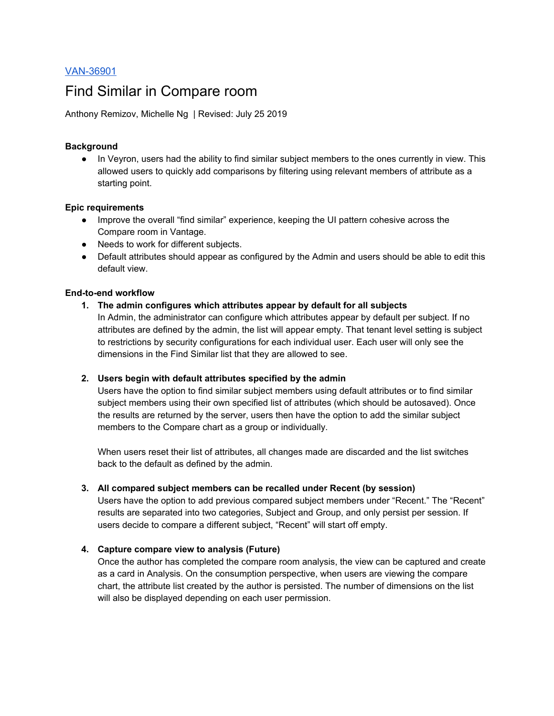# [VAN-36901](https://visiercorp.atlassian.net/browse/VAN-36901)

# Find Similar in Compare room

Anthony Remizov, Michelle Ng | Revised: July 25 2019

#### **Background**

● In Veyron, users had the ability to find similar subject members to the ones currently in view. This allowed users to quickly add comparisons by filtering using relevant members of attribute as a starting point.

#### **Epic requirements**

- Improve the overall "find similar" experience, keeping the UI pattern cohesive across the Compare room in Vantage.
- Needs to work for different subjects.
- Default attributes should appear as configured by the Admin and users should be able to edit this default view.

## **End-to-end workflow**

## **1. The admin configures which attributes appear by default for all subjects**

In Admin, the administrator can configure which attributes appear by default per subject. If no attributes are defined by the admin, the list will appear empty. That tenant level setting is subject to restrictions by security configurations for each individual user. Each user will only see the dimensions in the Find Similar list that they are allowed to see.

## **2. Users begin with default attributes specified by the admin**

Users have the option to find similar subject members using default attributes or to find similar subject members using their own specified list of attributes (which should be autosaved). Once the results are returned by the server, users then have the option to add the similar subject members to the Compare chart as a group or individually.

When users reset their list of attributes, all changes made are discarded and the list switches back to the default as defined by the admin.

#### **3. All compared subject members can be recalled under Recent (by session)**

Users have the option to add previous compared subject members under "Recent." The "Recent" results are separated into two categories, Subject and Group, and only persist per session. If users decide to compare a different subject, "Recent" will start off empty.

## **4. Capture compare view to analysis (Future)**

Once the author has completed the compare room analysis, the view can be captured and create as a card in Analysis. On the consumption perspective, when users are viewing the compare chart, the attribute list created by the author is persisted. The number of dimensions on the list will also be displayed depending on each user permission.